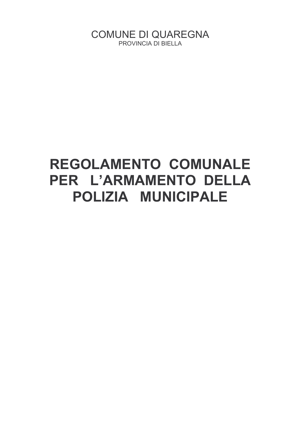**COMUNE DI QUAREGNA** PROVINCIA DI BIELLA

# REGOLAMENTO COMUNALE PER L'ARMAMENTO DELLA POLIZIA MUNICIPALE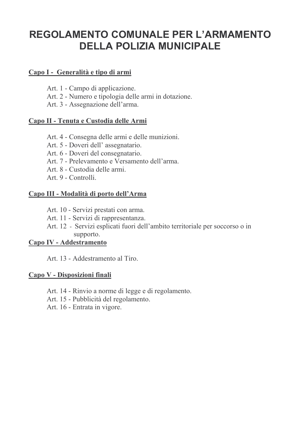# **REGOLAMENTO COMUNALE PER L'ARMAMENTO DELLA POLIZIA MUNICIPALE**

# Capo I - Generalità e tipo di armi

- Art. 1 Campo di applicazione.
- Art. 2 Numero e tipologia delle armi in dotazione.
- Art. 3 Assegnazione dell'arma.

# Capo II - Tenuta e Custodia delle Armi

- Art. 4 Consegna delle armi e delle munizioni.
- Art. 5 Doveri dell'assegnatario.
- Art. 6 Doveri del consegnatario.
- Art. 7 Prelevamento e Versamento dell'arma.
- Art 8 Custodia delle armi
- Art. 9 Controlli.

# Capo III - Modalità di porto dell'Arma

- Art. 10 Servizi prestati con arma.
- Art. 11 Servizi di rappresentanza.
- Art. 12 Servizi esplicati fuori dell'ambito territoriale per soccorso o in supporto.

# Capo IV - Addestramento

Art 13 - Addestramento al Tiro

# Capo V - Disposizioni finali

- Art. 14 Rinvio a norme di legge e di regolamento.
- Art. 15 Pubblicità del regolamento.
- Art. 16 Entrata in vigore.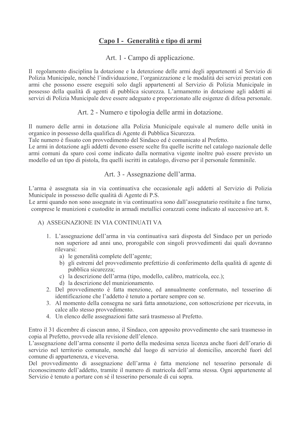# Capo I - Generalità e tipo di armi

Art. 1 - Campo di applicazione.

Il regolamento disciplina la dotazione e la detenzione delle armi degli appartenenti al Servizio di Polizia Municipale, nonché l'individuazione, l'organizzazione e le modalità dei servizi prestati con armi che possono essere eseguiti solo dagli appartenenti al Servizio di Polizia Municipale in possesso della qualità di agenti di pubblica sicurezza. L'armamento in dotazione agli addetti ai servizi di Polizia Municipale deve essere adeguato e proporzionato alle esigenze di difesa personale.

Art. 2 - Numero e tipologia delle armi in dotazione.

Il numero delle armi in dotazione alla Polizia Municipale equivale al numero delle unità in organico in possesso della qualifica di Agente di Pubblica Sicurezza.

Tale numero è fissato con provvedimento del Sindaco ed è comunicato al Prefetto.

Le armi in dotazione agli addetti devono essere scelte fra quelle iscritte nel catalogo nazionale delle armi comuni da sparo così come indicato dalla normativa vigente inoltre può essere previsto un modello ed un tipo di pistola, fra quelli iscritti in catalogo, diverso per il personale femminile.

#### Art. 3 - Assegnazione dell'arma.

L'arma è assegnata sia in via continuativa che occasionale agli addetti al Servizio di Polizia Municipale in possesso delle qualità di Agente di P.S.

Le armi quando non sono assegnate in via continuativa sono dall'assegnatario restituite a fine turno. comprese le munizioni e custodite in armadi metallici corazzati come indicato al successivo art. 8.

#### A) ASSEGNAZIONE IN VIA CONTINUATI VA

- 1. L'assegnazione dell'arma in via continuativa sarà disposta del Sindaco per un periodo non superiore ad anni uno, prorogabile con singoli provvedimenti dai quali dovranno rilevarsi:
	- a) le generalità complete dell'agente:
	- b) gli estremi del provvedimento prefettizio di conferimento della qualità di agente di pubblica sicurezza:
	- c) la descrizione dell'arma (tipo, modello, calibro, matricola, ecc.);
	- d) la descrizione del munizionamento.
- 2. Del provvedimento è fatta menzione, ed annualmente confermato, nel tesserino di identificazione che l'addetto è tenuto a portare sempre con se.
- 3. Al momento della consegna ne sarà fatta annotazione, con sottoscrizione per ricevuta, in calce allo stesso provvedimento.
- 4. Un elenco delle assegnazioni fatte sarà trasmesso al Prefetto.

Entro il 31 dicembre di ciascun anno, il Sindaco, con apposito provvedimento che sarà trasmesso in copia al Prefetto, provvede alla revisione dell'elenco.

L'assegnazione dell'arma consente il porto della medesima senza licenza anche fuori dell'orario di servizio nel territorio comunale, nonché dal luogo di servizio al domicilio, ancorché fuori del comune di appartenenza, e viceversa.

Del provvedimento di assegnazione dell'arma è fatta menzione nel tesserino personale di riconoscimento dell'addetto, tramite il numero di matricola dell'arma stessa. Ogni appartenente al Servizio è tenuto a portare con sé il tesserino personale di cui sopra.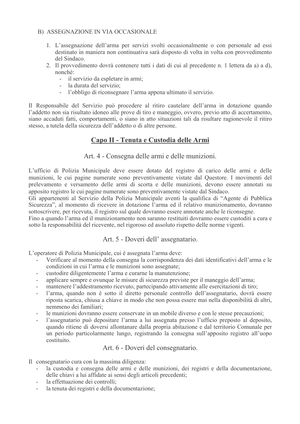#### B) ASSEGNAZIONE IN VIA OCCASIONALE

- 1. L'assegnazione dell'arma per servizi svolti occasionalmente o con personale ad essi destinato in maniera non continuativa sarà disposto di volta in volta con provvedimento del Sindaco
- 2. Il provvedimento dovrà contenere tutti i dati di cui al precedente n. 1 lettera da a) a d). nonché:
	- il servizio da espletare in armi:
	- la durata del servizio;
	- $\mathbf{r}$ l'obbligo di riconsegnare l'arma appena ultimato il servizio.

Il Responsabile del Servizio può procedere al ritiro cautelare dell'arma in dotazione quando l'addetto non sia risultato idoneo alle prove di tiro e maneggio, ovvero, previo atto di accertamento, siano accaduti fatti, comportamenti, o siano in atto situazioni tali da risultare ragionevole il ritiro stesso, a tutela della sicurezza dell'addetto o di altre persone.

# Capo II - Tenuta e Custodia delle Armi

Art. 4 - Consegna delle armi e delle munizioni.

L'ufficio di Polizia Municipale deve essere dotato del registro di carico delle armi e delle munizioni, le cui pagine numerate sono preventivamente vistate dal Questore. I movimenti del prelevamento e versamento delle armi di scorta e delle munizioni, devono essere annotati su apposito registro le cui pagine numerate sono preventivamente vistate dal Sindaco.

Gli appartenenti al Servizio della Polizia Municipale aventi la qualifica di "Agente di Pubblica" Sicurezza", al momento di ricevere in dotazione l'arma ed il relativo munizionamento, dovranno sottoscrivere, per ricevuta, il registro sul quale dovranno essere annotate anche le riconsegne.

Fino a quando l'arma ed il munizionamento non saranno restituiti dovranno essere custoditi a cura e sotto la responsabilità del ricevente, nel rigoroso ed assoluto rispetto delle norme vigenti.

#### Art. 5 - Doveri dell'assegnatario.

L'operatore di Polizia Municipale, cui è assegnata l'arma deve:

- Verificare al momento della consegna la corrispondenza dei dati identificativi dell'arma e le condizioni in cui l'arma e le munizioni sono assegnate;
- custodire diligentemente l'arma e curarne la manutenzione;  $\mathbf{r}$
- applicare sempre e ovunque le misure di sicurezza previste per il maneggio dell'arma;
- mantenere l'addestramento ricevuto, partecipando attivamente alle esercitazioni di tiro:
- l'arma, quando non è sotto il diretto personale controllo dell'assegnatario, dovrà essere riposta scarica, chiusa a chiave in modo che non possa essere mai nella disponibilità di altri, nemmeno dei familiari<sup>-</sup>
- le munizioni dovranno essere conservate in un mobile diverso e con le stesse precauzioni:
- l'assegnatario può depositare l'arma a lui assegnata presso l'ufficio preposto al deposito, quando ritiene di doversi allontanare dalla propria abitazione e dal territorio Comunale per un periodo particolarmente lungo, registrando la consegna sull'apposito registro all'uopo costituito

Art. 6 - Doveri del consegnatario.

Il consegnatario cura con la massima diligenza:

- la custodia e consegna delle armi e delle munizioni, dei registri e della documentazione, delle chiavi a lui affidate ai sensi degli articoli precedenti;
- la effettuazione dei controlli:
- la tenuta dei registri e della documentazione;  $\omega_{\rm{max}}$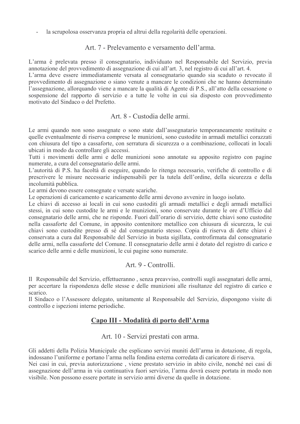la scrupolosa osservanza propria ed altrui della regolarità delle operazioni.  $\overline{a}$ 

#### Art. 7 - Prelevamento e versamento dell'arma.

L'arma è prelevata presso il consegnatario, individuato nel Responsabile del Servizio, previa annotazione del provvedimento di assegnazione di cui all'art. 3, nel registro di cui all'art. 4.

L'arma deve essere immediatamente versata al consegnatario quando sia scaduto o revocato il provvedimento di assegnazione o siano venute a mancare le condizioni che ne hanno determinato l'assegnazione, allorquando viene a mancare la qualità di Agente di P.S., all'atto della cessazione o sospensione del rapporto di servizio e a tutte le volte in cui sia disposto con provvedimento motivato del Sindaco o del Prefetto

#### Art. 8 - Custodia delle armi.

Le armi quando non sono assegnate o sono state dall'assegnatario temporaneamente restituite e quelle eventualmente di riserva comprese le munizioni, sono custodite in armadi metallici corazzati con chiusura del tipo a cassaforte, con serratura di sicurezza o a combinazione, collocati in locali ubicati in modo da controllare gli accessi.

Tutti i movimenti delle armi e delle munizioni sono annotate su apposito registro con pagine numerate, a cura del consegnatario delle armi.

L'autorità di P.S. ha facoltà di eseguire, quando lo ritenga necessario, verifiche di controllo e di prescrivere le misure necessarie indispensabili per la tutela dell'ordine, della sicurezza e della incolumità pubblica.

Le armi devono essere consegnate e versate scariche.

Le operazioni di caricamento e scaricamento delle armi devono avvenire in luogo isolato.

Le chiavi di accesso ai locali in cui sono custoditi gli armadi metallici e degli armadi metallici stessi, in cui sono custodite le armi e le munizioni, sono conservate durante le ore d'Ufficio dal consegnatario delle armi, che ne risponde. Fuori dall'orario di servizio, dette chiavi sono custodite nella cassaforte del Comune, in apposito contenitore metallico con chiusura di sicurezza, le cui chiavi sono custodite presso di sé dal consegnatario stesso. Copia di riserva di dette chiavi è conservata a cura dal Responsabile del Servizio in busta sigillata, controfirmata dal consegnatario delle armi, nella cassaforte del Comune. Il consegnatario delle armi è dotato del registro di carico e scarico delle armi e delle munizioni, le cui pagine sono numerate.

#### Art. 9 - Controlli.

Il Responsabile del Servizio, effettueranno, senza preavviso, controlli sugli assegnatari delle armi, per accertare la rispondenza delle stesse e delle munizioni alle risultanze del registro di carico e scarico.

Il Sindaco o l'Assessore delegato, unitamente al Responsabile del Servizio, dispongono visite di controllo e ispezioni interne periodiche.

# Capo III - Modalità di porto dell'Arma

Art. 10 - Servizi prestati con arma.

Gli addetti della Polizia Municipale che esplicano servizi muniti dell'arma in dotazione, di regola, indossano l'uniforme e portano l'arma nella fondina esterna corredata di caricatore di riserva.

Nei casi in cui, previa autorizzazione, viene prestato servizio in abito civile, nonché nei casi di assegnazione dell'arma in via continuativa fuori servizio, l'arma dovrà essere portata in modo non visibile. Non possono essere portate in servizio armi diverse da quelle in dotazione.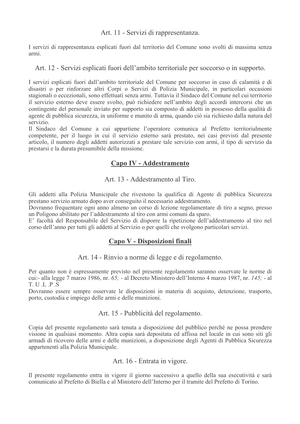Art. 11 - Servizi di rappresentanza.

I servizi di rappresentanza esplicati fuori dal territorio del Comune sono svolti di massima senza armi

#### Art. 12 - Servizi esplicati fuori dell'ambito territoriale per soccorso o in supporto.

I servizi esplicati fuori dall'ambito territoriale del Comune per soccorso in caso di calamità e di disastri o per rinforzare altri Corpi o Servizi di Polizia Municipale, in particolari occasioni stagionali o eccezionali, sono effettuati senza armi. Tuttavia il Sindaco del Comune nel cui territorio il servizio esterno deve essere svolto, può richiedere nell'ambito degli accordi intercorsi che un contingente del personale inviato per supporto sia composto di addetti in possesso della qualità di agente di pubblica sicurezza, in uniforme e munito di arma, quando ciò sia richiesto dalla natura del servizio.

Il Sindaco del Comune a cui appartiene l'operatore comunica al Prefetto territorialmente competente, per il luogo in cui il servizio esterno sarà prestato, nei casi previsti dal presente articolo, il numero degli addetti autorizzati a prestare tale servizio con armi, il tipo di servizio da prestarsi e la durata presumibile della missione.

# Capo IV - Addestramento

Art. 13 - Addestramento al Tiro.

Gli addetti alla Polizia Municipale che rivestono la qualifica di Agente di pubblica Sicurezza prestano servizio armato dopo aver conseguito il necessario addestramento.

Dovranno frequentare ogni anno almeno un corso di lezione regolamentare di tiro a segno, presso un Poligono abilitato per l'addestramento al tiro con armi comuni da sparo.

E' facoltà del Responsabile del Servizio di disporre la ripetizione dell'addestramento al tiro nel corso dell'anno per tutti gli addetti al Servizio o per quelli che svolgono particolari servizi.

# Capo V - Disposizioni finali

Art. 14 - Rinvio a norme di legge e di regolamento.

Per quanto non è espressamente previsto nel presente regolamento saranno osservate le norme di cui:- alla legge 7 marzo 1986, nr. 65; - al Decreto Ministero dell'Interno 4 marzo 1987, nr. 145; - al  $T. U. L. P. S$ 

Dovranno essere sempre osservate le disposizioni in materia di acquisto, detenzione, trasporto, porto, custodia e impiego delle armi e delle munizioni.

#### Art. 15 - Pubblicità del regolamento.

Copia del presente regolamento sarà tenuta a disposizione del pubblico perché ne possa prendere visione in qualsiasi momento. Altra copia sarà depositata ed affissa nel locale in cui sono siti gli armadi di ricovero delle armi e delle munizioni, a disposizione degli Agenti di Pubblica Sicurezza appartenenti alla Polizia Municipale.

Art. 16 - Entrata in vigore.

Il presente regolamento entra in vigore il giorno successivo a quello della sua esecutività e sarà comunicato al Prefetto di Biella e al Ministero dell'Interno per il tramite del Prefetto di Torino.